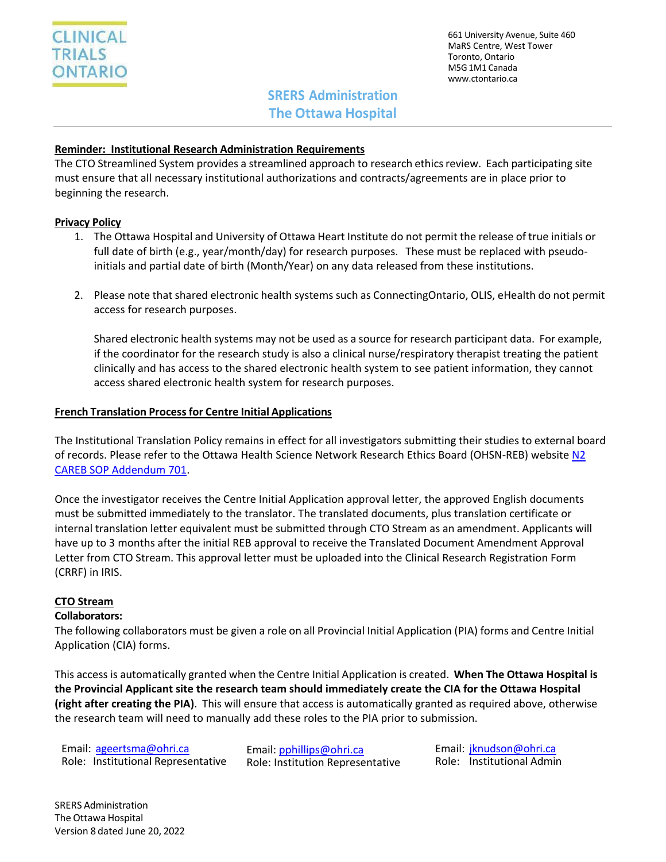661 University Avenue, Suite 460 MaRS Centre, West Tower Toronto, Ontario M5G1M1 Canada [www.ctontario.ca](http://www.ctontario.ca/)

# **SRERS Administration The Ottawa Hospital**

### **Reminder: Institutional Research Administration Requirements**

The CTO Streamlined System provides a streamlined approach to research ethics review. Each participating site must ensure that all necessary institutional authorizations and contracts/agreements are in place prior to beginning the research.

## **Privacy Policy**

- 1. The Ottawa Hospital and University of Ottawa Heart Institute do not permit the release of true initials or full date of birth (e.g., year/month/day) for research purposes. These must be replaced with pseudoinitials and partial date of birth (Month/Year) on any data released from these institutions.
- 2. Please note that shared electronic health systems such as ConnectingOntario, OLIS, eHealth do not permit access for research purposes.

Shared electronic health systems may not be used as a source for research participant data. For example, if the coordinator for the research study is also a clinical nurse/respiratory therapist treating the patient clinically and has access to the shared electronic health system to see patient information, they cannot access shared electronic health system for research purposes.

### **French Translation Processfor Centre Initial Applications**

The Institutional Translation Policy remains in effect for all investigators submitting their studies to external board of records. Please refer to the Ottawa Health Science Network Research Ethics Board (OHSN-REB) website [N2](http://www.ohri.ca/ohsn-reb/SOPs/701%20SOP%20Addendum%2C%20May%2019%2C%202016%20(2).pdf) [CAREB SOP Addendum 701.](http://www.ohri.ca/ohsn-reb/SOPs/701%20SOP%20Addendum%2C%20May%2019%2C%202016%20(2).pdf)

Once the investigator receives the Centre Initial Application approval letter, the approved English documents must be submitted immediately to the translator. The translated documents, plus translation certificate or internal translation letter equivalent must be submitted through CTO Stream as an amendment. Applicants will have up to 3 months after the initial REB approval to receive the Translated Document Amendment Approval Letter from CTO Stream. This approval letter must be uploaded into the Clinical Research Registration Form (CRRF) in IRIS.

### **CTO Stream**

### **Collaborators:**

The following collaborators must be given a role on all Provincial Initial Application (PIA) forms and Centre Initial Application (CIA) forms.

This access is automatically granted when the Centre Initial Application is created. **When The Ottawa Hospital is the Provincial Applicant site the research team should immediately create the CIA for the Ottawa Hospital (right after creating the PIA)**. This will ensure that access is automatically granted as required above, otherwise the research team will need to manually add these roles to the PIA prior to submission.

Email: [ageertsma@ohri.ca](mailto:ageertsma@ohri.ca) Role: Institutional Representative Email[: pphillips@ohri.ca](mailto:pphillips@ohri.ca) Role: Institution Representative Email: [jknudson@ohri.ca](mailto:jknudson@ohri.ca) Role: Institutional Admin

SRERS Administration The Ottawa Hospital Version 8 dated June 20, 2022